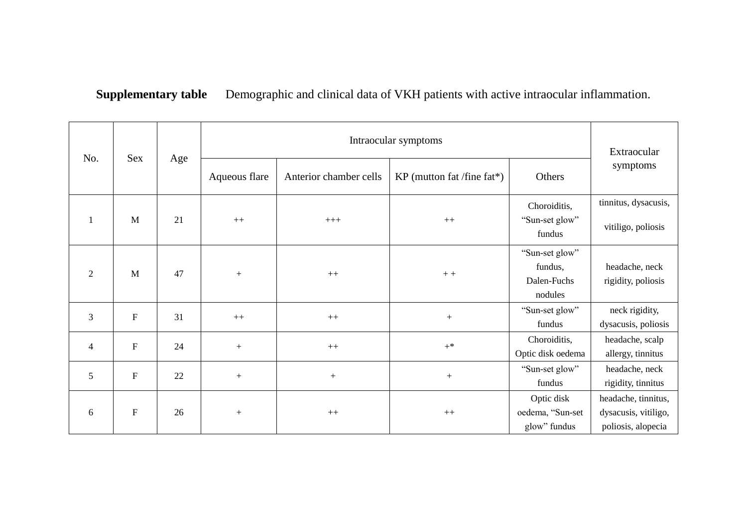## **Supplementary table** Demographic and clinical data of VKH patients with active intraocular inflammation.

| No.            | Sex                       | Age |               | Extraocular            |                            |                                                     |                                                                   |
|----------------|---------------------------|-----|---------------|------------------------|----------------------------|-----------------------------------------------------|-------------------------------------------------------------------|
|                |                           |     | Aqueous flare | Anterior chamber cells | KP (mutton fat /fine fat*) | Others                                              | symptoms                                                          |
| 1              | M                         | 21  | $++$          | $+++$                  | $++$                       | Choroiditis,<br>"Sun-set glow"<br>fundus            | tinnitus, dysacusis,<br>vitiligo, poliosis                        |
| 2              | M                         | 47  | $+$           | $++$                   | $+ +$                      | "Sun-set glow"<br>fundus,<br>Dalen-Fuchs<br>nodules | headache, neck<br>rigidity, poliosis                              |
| 3              | $\mathbf F$               | 31  | $++$          | $++$                   | $+$                        | "Sun-set glow"<br>fundus                            | neck rigidity,<br>dysacusis, poliosis                             |
| $\overline{4}$ | ${\bf F}$                 | 24  | $\! +$        | $^{++}\,$              | $+^*$                      | Choroiditis,<br>Optic disk oedema                   | headache, scalp<br>allergy, tinnitus                              |
| $\overline{5}$ | $\boldsymbol{\mathrm{F}}$ | 22  | $+$           | $\! + \!\!\!\!$        | $+$                        | "Sun-set glow"<br>fundus                            | headache, neck<br>rigidity, tinnitus                              |
| 6              | ${\bf F}$                 | 26  | $^{+}$        | $++$                   | $++$                       | Optic disk<br>oedema, "Sun-set<br>glow" fundus      | headache, tinnitus,<br>dysacusis, vitiligo,<br>poliosis, alopecia |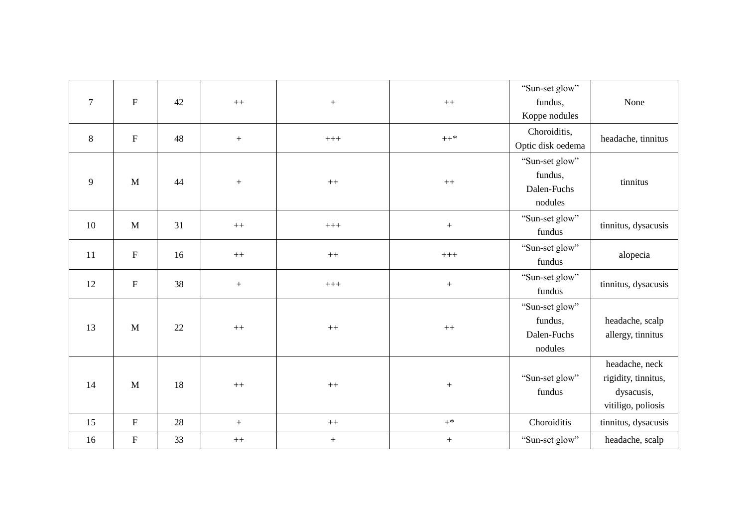| $\overline{7}$ | ${\bf F}$   | 42 | $++$             |                  | $++$             | "Sun-set glow"<br>fundus, | None                |
|----------------|-------------|----|------------------|------------------|------------------|---------------------------|---------------------|
|                |             |    |                  | $\boldsymbol{+}$ |                  | Koppe nodules             |                     |
|                |             |    |                  |                  |                  | Choroiditis,              |                     |
| 8              | $\mathbf F$ | 48 | $\boldsymbol{+}$ | $+++$            | $\mathrm{++}^*$  | Optic disk oedema         | headache, tinnitus  |
|                |             |    |                  |                  |                  | "Sun-set glow"            |                     |
| 9              | M           | 44 | $+$              | $++$             | $++$             | fundus,                   | tinnitus            |
|                |             |    |                  |                  |                  | Dalen-Fuchs               |                     |
|                |             |    |                  |                  |                  | nodules                   |                     |
| 10             | M           | 31 | $++$             | $++++$           | $\boldsymbol{+}$ | "Sun-set glow"            | tinnitus, dysacusis |
|                |             |    |                  |                  |                  | fundus                    |                     |
| 11             | $\mathbf F$ | 16 |                  |                  | $++++$           | "Sun-set glow"            | alopecia            |
|                |             |    | $^{++}$          | $++$             |                  | fundus                    |                     |
|                | $\mathbf F$ | 38 |                  |                  |                  | "Sun-set glow"            |                     |
| 12             |             |    | $\boldsymbol{+}$ | $++++$           | $\boldsymbol{+}$ | fundus                    | tinnitus, dysacusis |
|                |             |    |                  |                  |                  | "Sun-set glow"            |                     |
| 13             | M           |    |                  |                  |                  | fundus,                   | headache, scalp     |
|                |             |    | 22               | $++$             | $++$             | $++$                      | Dalen-Fuchs         |
|                |             |    |                  |                  |                  | nodules                   |                     |
|                |             |    |                  |                  |                  |                           | headache, neck      |
| 14             | M           | 18 | $++$             | $++$             |                  | "Sun-set glow"            | rigidity, tinnitus, |
|                |             |    |                  |                  |                  | fundus                    | dysacusis,          |
|                |             |    |                  |                  |                  |                           | vitiligo, poliosis  |
| 15             | $\mathbf F$ | 28 | $\, +$           | $^{++}$          | $+^*$            | Choroiditis               | tinnitus, dysacusis |
| 16             | $\mathbf F$ | 33 | $^{++}\,$        | $\boldsymbol{+}$ | $+$              | "Sun-set glow"            | headache, scalp     |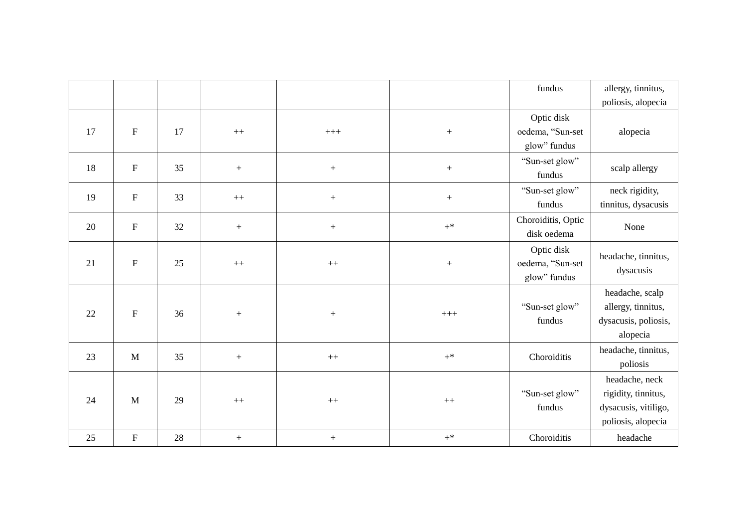|    |                           |    |                  |                  |                  | fundus                                         | allergy, tinnitus,                                                                  |
|----|---------------------------|----|------------------|------------------|------------------|------------------------------------------------|-------------------------------------------------------------------------------------|
|    |                           |    |                  |                  |                  |                                                | poliosis, alopecia                                                                  |
| 17 | $\boldsymbol{\mathrm{F}}$ | 17 | $^{++}$          | $+++$            |                  | Optic disk<br>oedema, "Sun-set<br>glow" fundus | alopecia                                                                            |
| 18 | $\mathbf F$               | 35 | $\boldsymbol{+}$ | $\boldsymbol{+}$ | $\boldsymbol{+}$ | "Sun-set glow"<br>fundus                       | scalp allergy                                                                       |
| 19 | $\boldsymbol{\mathrm{F}}$ | 33 | $++$             | $\boldsymbol{+}$ | $\boldsymbol{+}$ | "Sun-set glow"<br>fundus                       | neck rigidity,<br>tinnitus, dysacusis                                               |
| 20 | ${\bf F}$                 | 32 | $\boldsymbol{+}$ | $\boldsymbol{+}$ | $+^*$            | Choroiditis, Optic<br>disk oedema              | None                                                                                |
| 21 | ${\bf F}$                 | 25 | $++$             | $++$             | $\boldsymbol{+}$ | Optic disk<br>oedema, "Sun-set<br>glow" fundus | headache, tinnitus,<br>dysacusis                                                    |
| 22 | ${\bf F}$                 | 36 | $\boldsymbol{+}$ | $\! + \!$        | $+++$            | "Sun-set glow"<br>fundus                       | headache, scalp<br>allergy, tinnitus,<br>dysacusis, poliosis,<br>alopecia           |
| 23 | M                         | 35 | $\boldsymbol{+}$ | $++$             | $+^*$            | Choroiditis                                    | headache, tinnitus,<br>poliosis                                                     |
| 24 | M                         | 29 | $++$             | $++$             | $^{++}$          | "Sun-set glow"<br>fundus                       | headache, neck<br>rigidity, tinnitus,<br>dysacusis, vitiligo,<br>poliosis, alopecia |
| 25 | $\mathbf F$               | 28 | $\boldsymbol{+}$ | $^{+}$           | $+^*$            | Choroiditis                                    | headache                                                                            |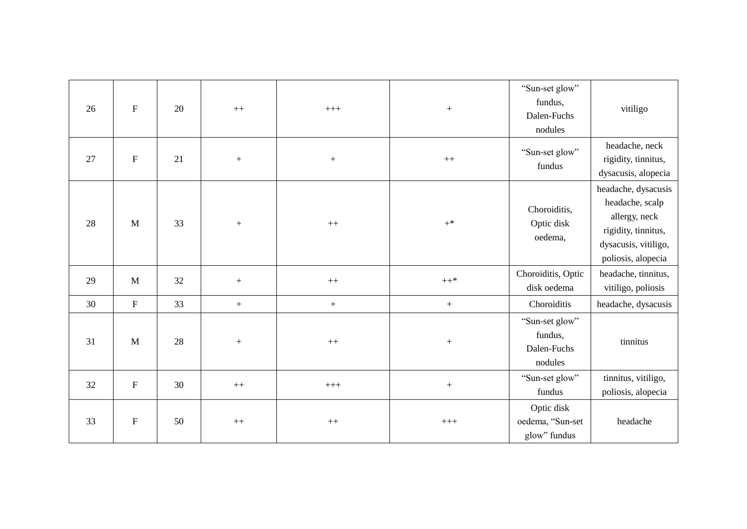| 26 | ${\bf F}$ | 20 | $++$              | $+++$            | $^+$             | "Sun-set glow"<br>fundus,<br>Dalen-Fuchs<br>nodules | vitiligo                                                                                                                     |
|----|-----------|----|-------------------|------------------|------------------|-----------------------------------------------------|------------------------------------------------------------------------------------------------------------------------------|
| 27 | ${\bf F}$ | 21 | $+$               |                  | $++$             | "Sun-set glow"<br>fundus                            | headache, neck<br>rigidity, tinnitus,<br>dysacusis, alopecia                                                                 |
| 28 | M         | 33 | $\boldsymbol{+}$  | $++$             | $+^*$            | Choroiditis,<br>Optic disk<br>oedema,               | headache, dysacusis<br>headache, scalp<br>allergy, neck<br>rigidity, tinnitus,<br>dysacusis, vitiligo,<br>poliosis, alopecia |
| 29 | M         | 32 | $\! + \!\!\!\!$   | $++$             | $++*$            | Choroiditis, Optic<br>disk oedema                   | headache, tinnitus,<br>vitiligo, poliosis                                                                                    |
| 30 | ${\bf F}$ | 33 | $\qquad \qquad +$ | $\boldsymbol{+}$ | $\, +$           | Choroiditis                                         | headache, dysacusis                                                                                                          |
| 31 | M         | 28 | $\! + \!\!\!\!$   | $++$             | $\boldsymbol{+}$ | "Sun-set glow"<br>fundus,<br>Dalen-Fuchs<br>nodules | tinnitus                                                                                                                     |
| 32 | ${\bf F}$ | 30 | $++$              | $^{+++}$         | $\boldsymbol{+}$ | "Sun-set glow"<br>fundus                            | tinnitus, vitiligo,<br>poliosis, alopecia                                                                                    |
| 33 | ${\bf F}$ | 50 | $++$              | $++$             | $^{+++}$         | Optic disk<br>oedema, "Sun-set<br>glow" fundus      | headache                                                                                                                     |